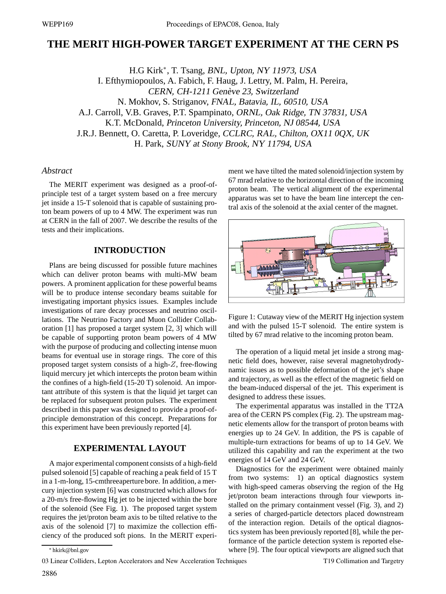# **THE MERIT HIGH-POWER TARGET EXPERIMENT AT THE CERN PS**

H.G Kirk∗, T. Tsang, BNL, Upton, NY 11973, USA I. Efthymiopoulos, A. Fabich, F. Haug, J. Lettry, M. Palm, H. Pereira, CERN, CH-1211 Genève 23, Switzerland N. Mokhov, S. Striganov, FNAL, Batavia, IL, 60510, USA A.J. Carroll, V.B. Graves, P.T. Spampinato, ORNL, Oak Ridge, TN 37831, USA K.T. McDonald, Princeton University, Princeton, NJ 08544, USA J.R.J. Bennett, O. Caretta, P. Loveridge, CCLRC, RAL, Chilton, OX11 0QX, UK H. Park, SUNY at Stony Brook, NY 11794, USA

## *Abstract*

The MERIT experiment was designed as a proof-ofprinciple test of a target system based on a free mercury jet inside a 15-T solenoid that is capable of sustaining proton beam powers of up to 4 MW. The experiment was run at CERN in the fall of 2007. We describe the results of the tests and their implications.

## **INTRODUCTION**

Plans are being discussed for possible future machines which can deliver proton beams with multi-MW beam powers. A prominent application for these powerful beams will be to produce intense secondary beams suitable for investigating important physics issues. Examples include investigations of rare decay processes and neutrino oscillations. The Neutrino Factory and Muon Collider Collaboration [1] has proposed a target system [2, 3] which will be capable of supporting proton beam powers of 4 MW with the purpose of producing and collecting intense muon beams for eventual use in storage rings. The core of this proposed target system consists of a high-Z, free-flowing liquid mercury jet which intercepts the proton beam within the confines of a high-field (15-20 T) solenoid. An important attribute of this system is that the liquid jet target can be replaced for subsequent proton pulses. The experiment described in this paper was designed to provide a proof-ofprinciple demonstration of this concept. Preparations for this experiment have been previously reported [4].

## **EXPERIMENTAL LAYOUT**

A major experimental component consists of a high-field pulsed solenoid [5] capable of reaching a peak field of 15 T in a 1-m-long, 15-cmthreeaperture bore. In addition, a mercury injection system [6] was constructed which allows for a 20-m/s free-flowing Hg jet to be injected within the bore of the solenoid (See Fig. 1). The proposed target system requires the jet/proton beam axis to be tilted relative to the axis of the solenoid [7] to maximize the collection efficiency of the produced soft pions. In the MERIT experiment we have tilted the mated solenoid/injection system by 67 mrad relative to the horizontal direction of the incoming proton beam. The vertical alignment of the experimental apparatus was set to have the beam line intercept the central axis of the solenoid at the axial center of the magnet.



Figure 1: Cutaway view of the MERIT Hg injection system and with the pulsed 15-T solenoid. The entire system is tilted by 67 mrad relative to the incoming proton beam.

The operation of a liquid metal jet inside a strong magnetic field does, however, raise several magnetohydrodynamic issues as to possible deformation of the jet's shape and trajectory, as well as the effect of the magnetic field on the beam-induced dispersal of the jet. This experiment is designed to address these issues.

The experimental apparatus was installed in the TT2A area of the CERN PS complex (Fig. 2). The upstream magnetic elements allow for the transport of proton beams with energies up to 24 GeV. In addition, the PS is capable of multiple-turn extractions for beams of up to 14 GeV. We utilized this capability and ran the experiment at the two energies of 14 GeV and 24 GeV.

Diagnostics for the experiment were obtained mainly from two systems: 1) an optical diagnostics system with high-speed cameras observing the region of the Hg jet/proton beam interactions through four viewports installed on the primary containment vessel (Fig. 3), and 2) a series of charged-particle detectors placed downstream of the interaction region. Details of the optical diagnostics system has been previously reported [8], while the performance of the particle detection system is reported elsewhere [9]. The four optical viewports are aligned such that

03 Linear Colliders, Lepton Accelerators and New Acceleration Techniques

<sup>∗</sup> hkirk@bnl.gov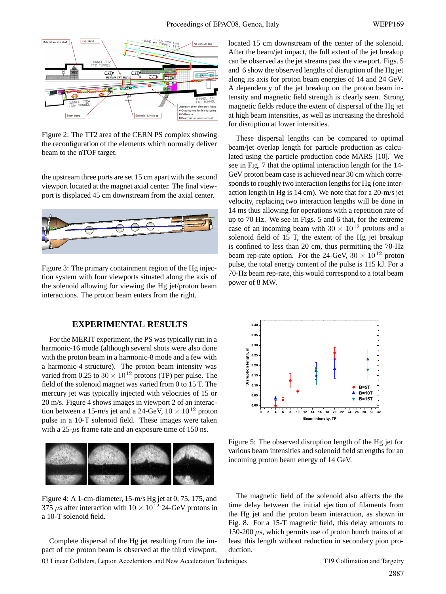

Figure 2: The TT2 area of the CERN PS complex showing the reconfiguration of the elements which normally deliver beam to the nTOF target.

the upstream three ports are set 15 cm apart with the second viewport located at the magnet axial center. The final viewport is displaced 45 cm downstream from the axial center.



Figure 3: The primary containment region of the Hg injection system with four viewports situated along the axis of the solenoid allowing for viewing the Hg jet/proton beam interactions. The proton beam enters from the right.

## **EXPERIMENTAL RESULTS**

For the MERIT experiment, the PS was typically run in a harmonic-16 mode (although several shots were also done with the proton beam in a harmonic-8 mode and a few with a harmonic-4 structure). The proton beam intensity was varied from 0.25 to  $30 \times 10^{12}$  protons (TP) per pulse. The field of the solenoid magnet was varied from 0 to 15 T. The mercury jet was typically injected with velocities of 15 or 20 m/s. Figure 4 shows images in viewport 2 of an interaction between a 15-m/s jet and a 24-GeV,  $10 \times 10^{12}$  proton pulse in a 10-T solenoid field. These images were taken with a  $25-\mu s$  frame rate and an exposure time of 150 ns.



Figure 4: A 1-cm-diameter, 15-m/s Hg jet at 0, 75, 175, and 375  $\mu$ s after interaction with  $10 \times 10^{12}$  24-GeV protons in a 10-T solenoid field.

Complete dispersal of the Hg jet resulting from the impact of the proton beam is observed at the third viewport, located 15 cm downstream of the center of the solenoid. After the beam/jet impact, the full extent of the jet breakup can be observed as the jet streams past the viewport. Figs. 5 and 6 show the observed lengths of disruption of the Hg jet along its axis for proton beam energies of 14 and 24 GeV. A dependency of the jet breakup on the proton beam intensity and magnetic field strength is clearly seen. Strong magnetic fields reduce the extent of dispersal of the Hg jet at high beam intensities, as well as increasing the threshold for disruption at lower intensities.

These dispersal lengths can be compared to optimal beam/jet overlap length for particle production as calculated using the particle production code MARS [10]. We see in Fig. 7 that the optimal interaction length for the 14- GeV proton beam case is achieved near 30 cm which corresponds to roughly two interaction lengths for Hg (one interaction length in Hg is 14 cm). We note that for a 20-m/s jet velocity, replacing two interaction lengths will be done in 14 ms thus allowing for operations with a repetition rate of up to 70 Hz. We see in Figs. 5 and 6 that, for the extreme case of an incoming beam with  $30 \times 10^{12}$  protons and a solenoid field of 15 T, the extent of the Hg jet breakup is confined to less than 20 cm, thus permitting the 70-Hz beam rep-rate option. For the 24-GeV,  $30 \times 10^{12}$  proton pulse, the total energy content of the pulse is 115 kJ. For a 70-Hz beam rep-rate, this would correspond to a total beam power of 8 MW.



Figure 5: The observed disruption length of the Hg jet for various beam intensities and solenoid field strengths for an incoming proton beam energy of 14 GeV.

The magnetic field of the solenoid also affects the the time delay between the initial ejection of filaments from the Hg jet and the proton beam interaction, as shown in Fig. 8. For a 15-T magnetic field, this delay amounts to 150-200  $\mu$ s, which permits use of proton bunch trains of at least this length without reduction in secondary pion production.

03 Linear Colliders, Lepton Accelerators and New Acceleration Techniques T19 Collimation and Targetry